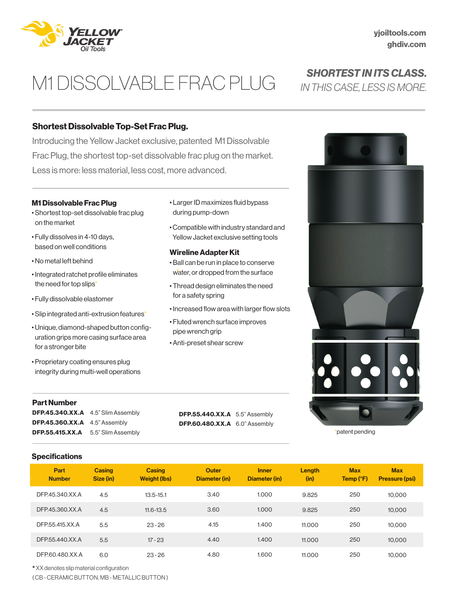

# M1 DISSOLVABLE FRAC PLUG

## Shortest Dissolvable Top-Set Frac Plug.

Introducing the Yellow Jacket exclusive, patented M1 Dissolvable Frac Plug, the shortest top-set dissolvable frac plug on the market. Less is more: less material, less cost, more advanced.

#### M1 Dissolvable Frac Plug

- Shortest top-set dissolvable frac plug on the market
- Fully dissolves in 4-10 days, based on well conditions
- No metal left behind
- Integrated ratchet profile eliminates the need for top slips\*
- Fully dissolvable elastomer
- Slip integrated anti-extrusion features\*
- Unique, diamond-shaped button configuration grips more casing surface area for a stronger bite
- Proprietary coating ensures plug integrity during multi-well operations

#### Part Number

DFP.45.340.XX.A 4.5" Slim Assembly **DFP.45.360.XX.A** 4.5" Assembly DFP.55.415.XX.A 5.5" Slim Assembly

**DFP.55.440.XX.A** 5.5" Assembly DFP.60.480.XX.A 6.0" Assembly



• Compatible with industry standard and Yellow Jacket exclusive setting tools

#### Wireline Adapter Kit

- Ball can be run in place to conserve water, or dropped from the surface
- Thread design eliminates the need for a safety spring
- Increased flow area with larger flow slots
- Fluted wrench surface improves pipe wrench grip
- Anti-preset shear screw





\*patent pending

#### **Specifications**

| Part<br><b>Number</b> | <b>Casing</b><br>Size (in) | <b>Casing</b><br>Weight (lbs) | <b>Outer</b><br>Diameter (in) | <b>Inner</b><br>Diameter (in) | Length<br>(in) | <b>Max</b><br>Temp (°F) | <b>Max</b><br><b>Pressure (psi)</b> |
|-----------------------|----------------------------|-------------------------------|-------------------------------|-------------------------------|----------------|-------------------------|-------------------------------------|
| DFP.45.340.XX.A       | 4.5                        | $13.5 - 15.1$                 | 3.40                          | 1.000                         | 9.825          | 250                     | 10.000                              |
| DFP.45.360.XX.A       | 4.5                        | $11.6 - 13.5$                 | 3.60                          | 1.000                         | 9.825          | 250                     | 10,000                              |
| DFP.55.415.XX.A       | 5.5                        | $23 - 26$                     | 4.15                          | 1.400                         | 11.000         | 250                     | 10,000                              |
| DFP.55.440.XX.A       | 5.5                        | $17 - 23$                     | 4.40                          | 1.400                         | 11,000         | 250                     | 10,000                              |
| DFP.60.480.XX.A       | 6.0                        | $23 - 26$                     | 4.80                          | 1.600                         | 11.000         | 250                     | 10.000                              |

\* XX denotes slip material configuration

( CB - CERAMIC BUTTON, MB - METALLIC BUTTON )